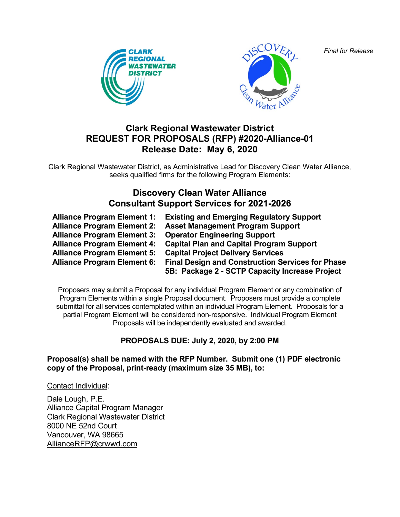*Final for Release*





# **Clark Regional Wastewater District REQUEST FOR PROPOSALS (RFP) #2020-Alliance-01 Release Date: May 6, 2020**

Clark Regional Wastewater District, as Administrative Lead for Discovery Clean Water Alliance, seeks qualified firms for the following Program Elements:

# **Discovery Clean Water Alliance Consultant Support Services for 2021-2026**

| <b>Alliance Program Element 1:</b> | <b>Existing and Emerging Regulatory Support</b>                                                           |
|------------------------------------|-----------------------------------------------------------------------------------------------------------|
| <b>Alliance Program Element 2:</b> | <b>Asset Management Program Support</b>                                                                   |
| <b>Alliance Program Element 3:</b> | <b>Operator Engineering Support</b>                                                                       |
| <b>Alliance Program Element 4:</b> | <b>Capital Plan and Capital Program Support</b>                                                           |
| <b>Alliance Program Element 5:</b> | <b>Capital Project Delivery Services</b>                                                                  |
| <b>Alliance Program Element 6:</b> | <b>Final Design and Construction Services for Phase</b><br>5B: Package 2 - SCTP Capacity Increase Project |

Proposers may submit a Proposal for any individual Program Element or any combination of Program Elements within a single Proposal document. Proposers must provide a complete submittal for all services contemplated within an individual Program Element. Proposals for a partial Program Element will be considered non-responsive. Individual Program Element Proposals will be independently evaluated and awarded.

## **PROPOSALS DUE: July 2, 2020, by 2:00 PM**

#### **Proposal(s) shall be named with the RFP Number. Submit one (1) PDF electronic copy of the Proposal, print-ready (maximum size 35 MB), to:**

Contact Individual:

Dale Lough, P.E. Alliance Capital Program Manager Clark Regional Wastewater District 8000 NE 52nd Court Vancouver, WA 98665 [AllianceRFP@crwwd.com](mailto:AllianceRFP@crwwd.com)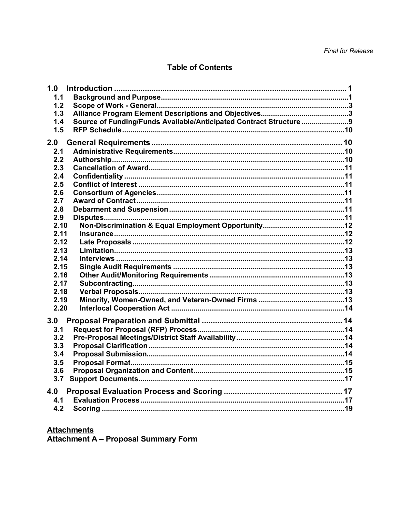## **Table of Contents**

| 1.0  |                                                                  |  |
|------|------------------------------------------------------------------|--|
| 1.1  |                                                                  |  |
| 1.2  |                                                                  |  |
| 1.3  |                                                                  |  |
| 1.4  | Source of Funding/Funds Available/Anticipated Contract Structure |  |
| 1.5  |                                                                  |  |
| 2.0  |                                                                  |  |
| 2.1  |                                                                  |  |
| 2.2  |                                                                  |  |
| 2.3  |                                                                  |  |
| 2.4  |                                                                  |  |
| 2.5  |                                                                  |  |
| 2.6  |                                                                  |  |
| 2.7  |                                                                  |  |
| 2.8  |                                                                  |  |
| 2.9  |                                                                  |  |
| 2.10 |                                                                  |  |
| 2.11 |                                                                  |  |
| 2.12 |                                                                  |  |
| 2.13 |                                                                  |  |
| 2.14 |                                                                  |  |
| 2.15 |                                                                  |  |
| 2.16 |                                                                  |  |
| 2.17 |                                                                  |  |
| 2.18 |                                                                  |  |
| 2.19 |                                                                  |  |
| 2.20 |                                                                  |  |
|      |                                                                  |  |
| 3.0  |                                                                  |  |
| 3.1  |                                                                  |  |
| 3.2  |                                                                  |  |
| 3.3  |                                                                  |  |
| 3.4  |                                                                  |  |
| 3.5  |                                                                  |  |
| 3.6  |                                                                  |  |
| 3.7  |                                                                  |  |
| 4.0  |                                                                  |  |
| 4.1  |                                                                  |  |
| 4.2  |                                                                  |  |
|      |                                                                  |  |

Attachments<br>Attachment A - Proposal Summary Form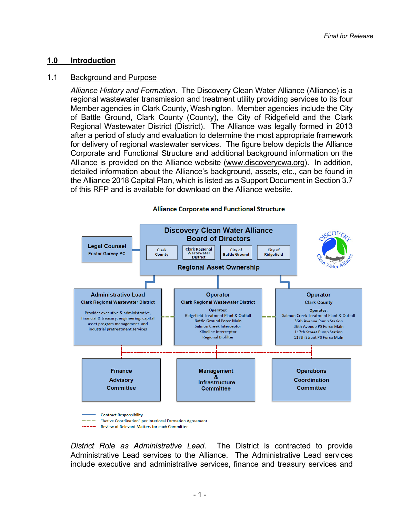#### <span id="page-2-0"></span>**1.0 Introduction**

#### <span id="page-2-1"></span>1.1 Background and Purpose

*Alliance History and Formation*. The Discovery Clean Water Alliance (Alliance) is a regional wastewater transmission and treatment utility providing services to its four Member agencies in Clark County, Washington. Member agencies include the City of Battle Ground, Clark County (County), the City of Ridgefield and the Clark Regional Wastewater District (District). The Alliance was legally formed in 2013 after a period of study and evaluation to determine the most appropriate framework for delivery of regional wastewater services. The figure below depicts the Alliance Corporate and Functional Structure and additional background information on the Alliance is provided on the Alliance website [\(www.discoverycwa.org\)](http://www.discoverycwa.org/). In addition, detailed information about the Alliance's background, assets, etc., can be found in the Alliance 2018 Capital Plan, which is listed as a Support Document in Section 3.7 of this RFP and is available for download on the Alliance website.



*District Role as Administrative Lead*. The District is contracted to provide Administrative Lead services to the Alliance. The Administrative Lead services include executive and administrative services, finance and treasury services and

- 1 -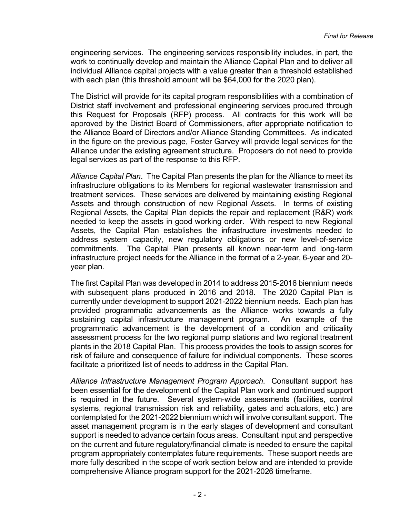engineering services. The engineering services responsibility includes, in part, the work to continually develop and maintain the Alliance Capital Plan and to deliver all individual Alliance capital projects with a value greater than a threshold established with each plan (this threshold amount will be \$64,000 for the 2020 plan).

The District will provide for its capital program responsibilities with a combination of District staff involvement and professional engineering services procured through this Request for Proposals (RFP) process. All contracts for this work will be approved by the District Board of Commissioners, after appropriate notification to the Alliance Board of Directors and/or Alliance Standing Committees. As indicated in the figure on the previous page, Foster Garvey will provide legal services for the Alliance under the existing agreement structure. Proposers do not need to provide legal services as part of the response to this RFP.

*Alliance Capital Plan*. The Capital Plan presents the plan for the Alliance to meet its infrastructure obligations to its Members for regional wastewater transmission and treatment services. These services are delivered by maintaining existing Regional Assets and through construction of new Regional Assets. In terms of existing Regional Assets, the Capital Plan depicts the repair and replacement (R&R) work needed to keep the assets in good working order. With respect to new Regional Assets, the Capital Plan establishes the infrastructure investments needed to address system capacity, new regulatory obligations or new level-of-service commitments. The Capital Plan presents all known near-term and long-term infrastructure project needs for the Alliance in the format of a 2-year, 6-year and 20 year plan.

The first Capital Plan was developed in 2014 to address 2015-2016 biennium needs with subsequent plans produced in 2016 and 2018. The 2020 Capital Plan is currently under development to support 2021-2022 biennium needs. Each plan has provided programmatic advancements as the Alliance works towards a fully sustaining capital infrastructure management program. An example of the programmatic advancement is the development of a condition and criticality assessment process for the two regional pump stations and two regional treatment plants in the 2018 Capital Plan. This process provides the tools to assign scores for risk of failure and consequence of failure for individual components. These scores facilitate a prioritized list of needs to address in the Capital Plan.

*Alliance Infrastructure Management Program Approach*. Consultant support has been essential for the development of the Capital Plan work and continued support is required in the future. Several system-wide assessments (facilities, control systems, regional transmission risk and reliability, gates and actuators, etc.) are contemplated for the 2021-2022 biennium which will involve consultant support. The asset management program is in the early stages of development and consultant support is needed to advance certain focus areas. Consultant input and perspective on the current and future regulatory/financial climate is needed to ensure the capital program appropriately contemplates future requirements. These support needs are more fully described in the scope of work section below and are intended to provide comprehensive Alliance program support for the 2021-2026 timeframe.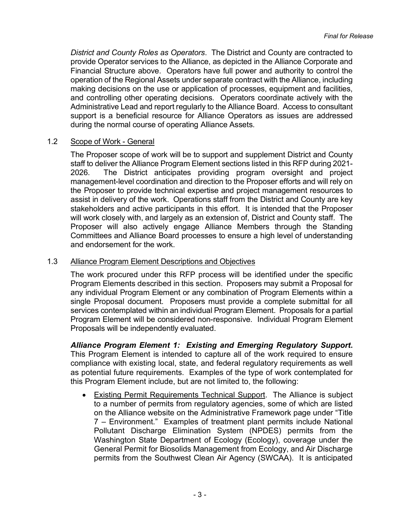*District and County Roles as Operators*. The District and County are contracted to provide Operator services to the Alliance, as depicted in the Alliance Corporate and Financial Structure above. Operators have full power and authority to control the operation of the Regional Assets under separate contract with the Alliance, including making decisions on the use or application of processes, equipment and facilities, and controlling other operating decisions. Operators coordinate actively with the Administrative Lead and report regularly to the Alliance Board. Access to consultant support is a beneficial resource for Alliance Operators as issues are addressed during the normal course of operating Alliance Assets.

#### <span id="page-4-0"></span>1.2 Scope of Work - General

The Proposer scope of work will be to support and supplement District and County staff to deliver the Alliance Program Element sections listed in this RFP during 2021- 2026. The District anticipates providing program oversight and project management-level coordination and direction to the Proposer efforts and will rely on the Proposer to provide technical expertise and project management resources to assist in delivery of the work. Operations staff from the District and County are key stakeholders and active participants in this effort. It is intended that the Proposer will work closely with, and largely as an extension of, District and County staff. The Proposer will also actively engage Alliance Members through the Standing Committees and Alliance Board processes to ensure a high level of understanding and endorsement for the work.

#### <span id="page-4-1"></span>1.3 Alliance Program Element Descriptions and Objectives

The work procured under this RFP process will be identified under the specific Program Elements described in this section. Proposers may submit a Proposal for any individual Program Element or any combination of Program Elements within a single Proposal document. Proposers must provide a complete submittal for all services contemplated within an individual Program Element. Proposals for a partial Program Element will be considered non-responsive. Individual Program Element Proposals will be independently evaluated.

*Alliance Program Element 1: Existing and Emerging Regulatory Support***.** This Program Element is intended to capture all of the work required to ensure compliance with existing local, state, and federal regulatory requirements as well as potential future requirements. Examples of the type of work contemplated for this Program Element include, but are not limited to, the following:

• Existing Permit Requirements Technical Support. The Alliance is subject to a number of permits from regulatory agencies, some of which are listed on the Alliance website on the Administrative Framework page under "Title 7 – Environment." Examples of treatment plant permits include National Pollutant Discharge Elimination System (NPDES) permits from the Washington State Department of Ecology (Ecology), coverage under the General Permit for Biosolids Management from Ecology, and Air Discharge permits from the Southwest Clean Air Agency (SWCAA). It is anticipated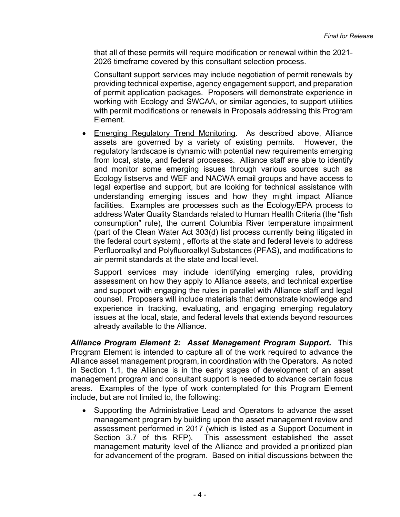that all of these permits will require modification or renewal within the 2021- 2026 timeframe covered by this consultant selection process.

Consultant support services may include negotiation of permit renewals by providing technical expertise, agency engagement support, and preparation of permit application packages. Proposers will demonstrate experience in working with Ecology and SWCAA, or similar agencies, to support utilities with permit modifications or renewals in Proposals addressing this Program Element.

• Emerging Regulatory Trend Monitoring. As described above, Alliance assets are governed by a variety of existing permits. However, the regulatory landscape is dynamic with potential new requirements emerging from local, state, and federal processes. Alliance staff are able to identify and monitor some emerging issues through various sources such as Ecology listservs and WEF and NACWA email groups and have access to legal expertise and support, but are looking for technical assistance with understanding emerging issues and how they might impact Alliance facilities. Examples are processes such as the Ecology/EPA process to address Water Quality Standards related to Human Health Criteria (the "fish consumption" rule), the current Columbia River temperature impairment (part of the Clean Water Act 303(d) list process currently being litigated in the federal court system) , efforts at the state and federal levels to address Perfluoroalkyl and Polyfluoroalkyl Substances (PFAS), and modifications to air permit standards at the state and local level.

Support services may include identifying emerging rules, providing assessment on how they apply to Alliance assets, and technical expertise and support with engaging the rules in parallel with Alliance staff and legal counsel. Proposers will include materials that demonstrate knowledge and experience in tracking, evaluating, and engaging emerging regulatory issues at the local, state, and federal levels that extends beyond resources already available to the Alliance.

*Alliance Program Element 2: Asset Management Program Support***.** This Program Element is intended to capture all of the work required to advance the Alliance asset management program, in coordination with the Operators. As noted in Section 1.1, the Alliance is in the early stages of development of an asset management program and consultant support is needed to advance certain focus areas. Examples of the type of work contemplated for this Program Element include, but are not limited to, the following:

• Supporting the Administrative Lead and Operators to advance the asset management program by building upon the asset management review and assessment performed in 2017 (which is listed as a Support Document in Section 3.7 of this RFP). This assessment established the asset management maturity level of the Alliance and provided a prioritized plan for advancement of the program. Based on initial discussions between the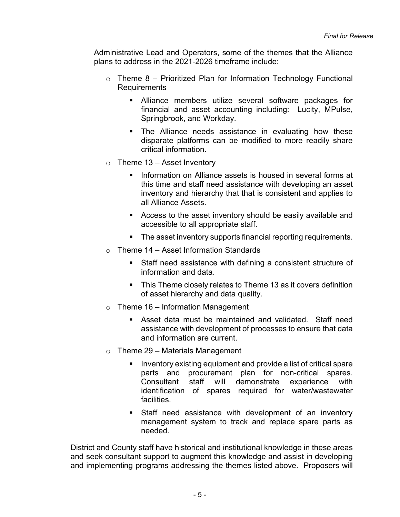Administrative Lead and Operators, some of the themes that the Alliance plans to address in the 2021-2026 timeframe include:

- $\circ$  Theme 8 Prioritized Plan for Information Technology Functional **Requirements** 
	- Alliance members utilize several software packages for financial and asset accounting including: Lucity, MPulse, Springbrook, and Workday.
	- **The Alliance needs assistance in evaluating how these** disparate platforms can be modified to more readily share critical information.
- $\circ$  Theme 13 Asset Inventory
	- **Information on Alliance assets is housed in several forms at** this time and staff need assistance with developing an asset inventory and hierarchy that that is consistent and applies to all Alliance Assets.
	- Access to the asset inventory should be easily available and accessible to all appropriate staff.
	- **The asset inventory supports financial reporting requirements.**
- $\circ$  Theme 14 Asset Information Standards
	- Staff need assistance with defining a consistent structure of information and data.
	- This Theme closely relates to Theme 13 as it covers definition of asset hierarchy and data quality.
- $\circ$  Theme 16 Information Management
	- Asset data must be maintained and validated. Staff need assistance with development of processes to ensure that data and information are current.
- $\circ$  Theme 29 Materials Management
	- Inventory existing equipment and provide a list of critical spare parts and procurement plan for non-critical spares. Consultant staff will demonstrate experience with identification of spares required for water/wastewater facilities.
	- Staff need assistance with development of an inventory management system to track and replace spare parts as needed.

District and County staff have historical and institutional knowledge in these areas and seek consultant support to augment this knowledge and assist in developing and implementing programs addressing the themes listed above. Proposers will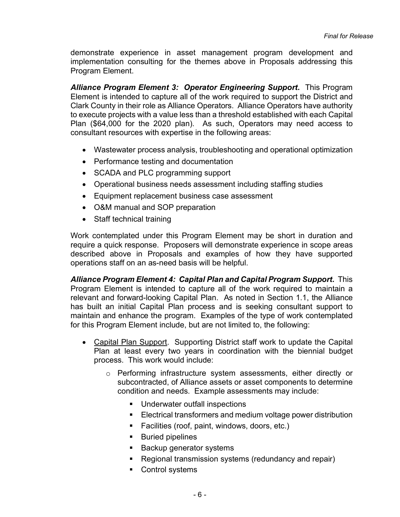demonstrate experience in asset management program development and implementation consulting for the themes above in Proposals addressing this Program Element.

*Alliance Program Element 3: Operator Engineering Support***.** This Program Element is intended to capture all of the work required to support the District and Clark County in their role as Alliance Operators. Alliance Operators have authority to execute projects with a value less than a threshold established with each Capital Plan (\$64,000 for the 2020 plan). As such, Operators may need access to consultant resources with expertise in the following areas:

- Wastewater process analysis, troubleshooting and operational optimization
- Performance testing and documentation
- SCADA and PLC programming support
- Operational business needs assessment including staffing studies
- Equipment replacement business case assessment
- O&M manual and SOP preparation
- Staff technical training

Work contemplated under this Program Element may be short in duration and require a quick response. Proposers will demonstrate experience in scope areas described above in Proposals and examples of how they have supported operations staff on an as-need basis will be helpful.

*Alliance Program Element 4: Capital Plan and Capital Program Support***.** This Program Element is intended to capture all of the work required to maintain a relevant and forward-looking Capital Plan. As noted in Section 1.1, the Alliance has built an initial Capital Plan process and is seeking consultant support to maintain and enhance the program. Examples of the type of work contemplated for this Program Element include, but are not limited to, the following:

- Capital Plan Support. Supporting District staff work to update the Capital Plan at least every two years in coordination with the biennial budget process. This work would include:
	- o Performing infrastructure system assessments, either directly or subcontracted, of Alliance assets or asset components to determine condition and needs. Example assessments may include:
		- Underwater outfall inspections
		- Electrical transformers and medium voltage power distribution
		- Facilities (roof, paint, windows, doors, etc.)
		- **Buried pipelines**
		- **Backup generator systems**
		- Regional transmission systems (redundancy and repair)
		- Control systems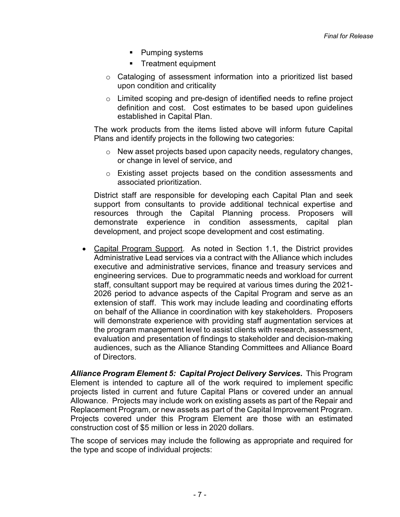- Pumping systems
- **Treatment equipment**
- $\circ$  Cataloging of assessment information into a prioritized list based upon condition and criticality
- $\circ$  Limited scoping and pre-design of identified needs to refine project definition and cost. Cost estimates to be based upon guidelines established in Capital Plan.

The work products from the items listed above will inform future Capital Plans and identify projects in the following two categories:

- $\circ$  New asset projects based upon capacity needs, regulatory changes, or change in level of service, and
- o Existing asset projects based on the condition assessments and associated prioritization.

District staff are responsible for developing each Capital Plan and seek support from consultants to provide additional technical expertise and resources through the Capital Planning process. Proposers will demonstrate experience in condition assessments, capital plan development, and project scope development and cost estimating.

• Capital Program Support. As noted in Section 1.1, the District provides Administrative Lead services via a contract with the Alliance which includes executive and administrative services, finance and treasury services and engineering services. Due to programmatic needs and workload for current staff, consultant support may be required at various times during the 2021- 2026 period to advance aspects of the Capital Program and serve as an extension of staff. This work may include leading and coordinating efforts on behalf of the Alliance in coordination with key stakeholders. Proposers will demonstrate experience with providing staff augmentation services at the program management level to assist clients with research, assessment, evaluation and presentation of findings to stakeholder and decision-making audiences, such as the Alliance Standing Committees and Alliance Board of Directors.

*Alliance Program Element 5: Capital Project Delivery Services***.** This Program Element is intended to capture all of the work required to implement specific projects listed in current and future Capital Plans or covered under an annual Allowance. Projects may include work on existing assets as part of the Repair and Replacement Program, or new assets as part of the Capital Improvement Program. Projects covered under this Program Element are those with an estimated construction cost of \$5 million or less in 2020 dollars.

The scope of services may include the following as appropriate and required for the type and scope of individual projects: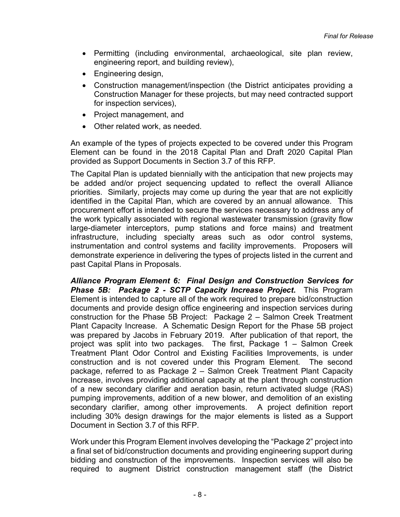- Permitting (including environmental, archaeological, site plan review, engineering report, and building review),
- Engineering design,
- Construction management/inspection (the District anticipates providing a Construction Manager for these projects, but may need contracted support for inspection services),
- Project management, and
- Other related work, as needed.

An example of the types of projects expected to be covered under this Program Element can be found in the 2018 Capital Plan and Draft 2020 Capital Plan provided as Support Documents in Section 3.7 of this RFP.

The Capital Plan is updated biennially with the anticipation that new projects may be added and/or project sequencing updated to reflect the overall Alliance priorities. Similarly, projects may come up during the year that are not explicitly identified in the Capital Plan, which are covered by an annual allowance. This procurement effort is intended to secure the services necessary to address any of the work typically associated with regional wastewater transmission (gravity flow large-diameter interceptors, pump stations and force mains) and treatment infrastructure, including specialty areas such as odor control systems, instrumentation and control systems and facility improvements. Proposers will demonstrate experience in delivering the types of projects listed in the current and past Capital Plans in Proposals.

*Alliance Program Element 6: Final Design and Construction Services for Phase 5B: Package 2 - SCTP Capacity Increase Project***.** This Program Element is intended to capture all of the work required to prepare bid/construction documents and provide design office engineering and inspection services during construction for the Phase 5B Project: Package 2 – Salmon Creek Treatment Plant Capacity Increase. A Schematic Design Report for the Phase 5B project was prepared by Jacobs in February 2019. After publication of that report, the project was split into two packages. The first, Package 1 – Salmon Creek Treatment Plant Odor Control and Existing Facilities Improvements, is under construction and is not covered under this Program Element. The second package, referred to as Package 2 – Salmon Creek Treatment Plant Capacity Increase, involves providing additional capacity at the plant through construction of a new secondary clarifier and aeration basin, return activated sludge (RAS) pumping improvements, addition of a new blower, and demolition of an existing secondary clarifier, among other improvements. A project definition report including 30% design drawings for the major elements is listed as a Support Document in Section 3.7 of this RFP.

Work under this Program Element involves developing the "Package 2" project into a final set of bid/construction documents and providing engineering support during bidding and construction of the improvements. Inspection services will also be required to augment District construction management staff (the District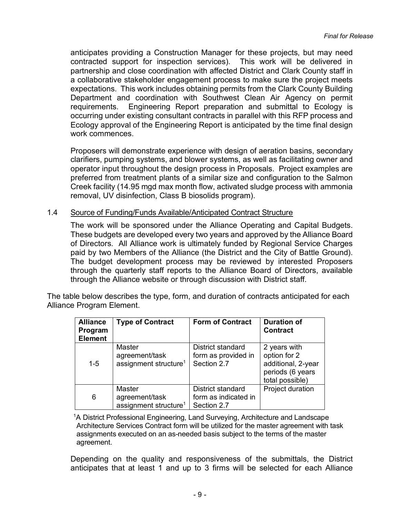anticipates providing a Construction Manager for these projects, but may need contracted support for inspection services). This work will be delivered in partnership and close coordination with affected District and Clark County staff in a collaborative stakeholder engagement process to make sure the project meets expectations. This work includes obtaining permits from the Clark County Building Department and coordination with Southwest Clean Air Agency on permit requirements. Engineering Report preparation and submittal to Ecology is occurring under existing consultant contracts in parallel with this RFP process and Ecology approval of the Engineering Report is anticipated by the time final design work commences.

Proposers will demonstrate experience with design of aeration basins, secondary clarifiers, pumping systems, and blower systems, as well as facilitating owner and operator input throughout the design process in Proposals. Project examples are preferred from treatment plants of a similar size and configuration to the Salmon Creek facility (14.95 mgd max month flow, activated sludge process with ammonia removal, UV disinfection, Class B biosolids program).

#### <span id="page-10-0"></span>1.4 Source of Funding/Funds Available/Anticipated Contract Structure

The work will be sponsored under the Alliance Operating and Capital Budgets. These budgets are developed every two years and approved by the Alliance Board of Directors. All Alliance work is ultimately funded by Regional Service Charges paid by two Members of the Alliance (the District and the City of Battle Ground). The budget development process may be reviewed by interested Proposers through the quarterly staff reports to the Alliance Board of Directors, available through the Alliance website or through discussion with District staff.

The table below describes the type, form, and duration of contracts anticipated for each Alliance Program Element.

| <b>Alliance</b><br>Program<br><b>Element</b> | <b>Type of Contract</b>                                              | <b>Form of Contract</b>                                         | <b>Duration of</b><br><b>Contract</b>                                                     |  |
|----------------------------------------------|----------------------------------------------------------------------|-----------------------------------------------------------------|-------------------------------------------------------------------------------------------|--|
| $1 - 5$                                      | <b>Master</b><br>agreement/task<br>assignment structure <sup>1</sup> | District standard<br>form as provided in<br>Section 2.7         | 2 years with<br>option for 2<br>additional, 2-year<br>periods (6 years<br>total possible) |  |
| 6                                            | Master<br>agreement/task<br>assignment structure <sup>1</sup>        | <b>District standard</b><br>form as indicated in<br>Section 2.7 | Project duration                                                                          |  |

<sup>1</sup>A District Professional Engineering, Land Surveying, Architecture and Landscape Architecture Services Contract form will be utilized for the master agreement with task assignments executed on an as-needed basis subject to the terms of the master agreement.

Depending on the quality and responsiveness of the submittals, the District anticipates that at least 1 and up to 3 firms will be selected for each Alliance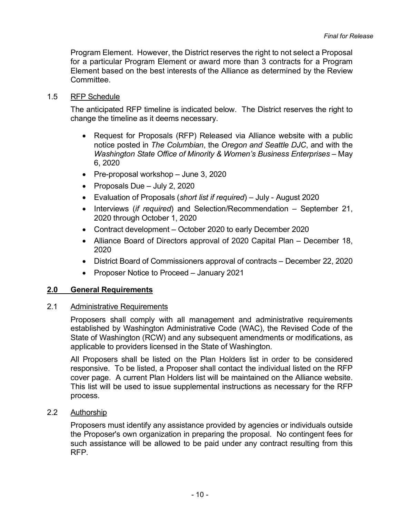Program Element. However, the District reserves the right to not select a Proposal for a particular Program Element or award more than 3 contracts for a Program Element based on the best interests of the Alliance as determined by the Review **Committee** 

#### <span id="page-11-0"></span>1.5 RFP Schedule

The anticipated RFP timeline is indicated below. The District reserves the right to change the timeline as it deems necessary.

- Request for Proposals (RFP) Released via Alliance website with a public notice posted in *The Columbian*, the *Oregon and Seattle DJC*, and with the *Washington State Office of Minority & Women's Business Enterprises* – May 6, 2020
- Pre-proposal workshop June 3, 2020
- Proposals Due July 2, 2020
- Evaluation of Proposals (*short list if required*) July August 2020
- Interviews (*if required*) and Selection/Recommendation September 21, 2020 through October 1, 2020
- Contract development October 2020 to early December 2020
- Alliance Board of Directors approval of 2020 Capital Plan December 18, 2020
- District Board of Commissioners approval of contracts December 22, 2020
- Proposer Notice to Proceed January 2021

#### <span id="page-11-1"></span>**2.0 General Requirements**

#### <span id="page-11-2"></span>2.1 Administrative Requirements

Proposers shall comply with all management and administrative requirements established by Washington Administrative Code (WAC), the Revised Code of the State of Washington (RCW) and any subsequent amendments or modifications, as applicable to providers licensed in the State of Washington.

All Proposers shall be listed on the Plan Holders list in order to be considered responsive. To be listed, a Proposer shall contact the individual listed on the RFP cover page. A current Plan Holders list will be maintained on the Alliance website. This list will be used to issue supplemental instructions as necessary for the RFP process.

<span id="page-11-3"></span>2.2 Authorship

Proposers must identify any assistance provided by agencies or individuals outside the Proposer's own organization in preparing the proposal. No contingent fees for such assistance will be allowed to be paid under any contract resulting from this RFP.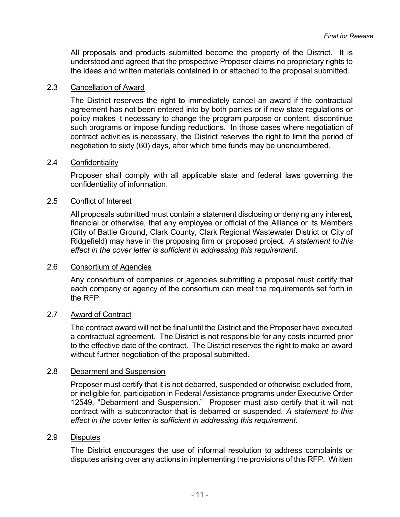All proposals and products submitted become the property of the District. It is understood and agreed that the prospective Proposer claims no proprietary rights to the ideas and written materials contained in or attached to the proposal submitted.

#### <span id="page-12-0"></span>2.3 Cancellation of Award

The District reserves the right to immediately cancel an award if the contractual agreement has not been entered into by both parties or if new state regulations or policy makes it necessary to change the program purpose or content, discontinue such programs or impose funding reductions. In those cases where negotiation of contract activities is necessary, the District reserves the right to limit the period of negotiation to sixty (60) days, after which time funds may be unencumbered.

#### <span id="page-12-1"></span>2.4 Confidentiality

Proposer shall comply with all applicable state and federal laws governing the confidentiality of information.

#### <span id="page-12-2"></span>2.5 Conflict of Interest

All proposals submitted must contain a statement disclosing or denying any interest, financial or otherwise, that any employee or official of the Alliance or its Members (City of Battle Ground, Clark County, Clark Regional Wastewater District or City of Ridgefield) may have in the proposing firm or proposed project. *A statement to this effect in the cover letter is sufficient in addressing this requirement*.

### <span id="page-12-3"></span>2.6 Consortium of Agencies

Any consortium of companies or agencies submitting a proposal must certify that each company or agency of the consortium can meet the requirements set forth in the RFP.

#### <span id="page-12-4"></span>2.7 Award of Contract

The contract award will not be final until the District and the Proposer have executed a contractual agreement. The District is not responsible for any costs incurred prior to the effective date of the contract. The District reserves the right to make an award without further negotiation of the proposal submitted.

#### <span id="page-12-5"></span>2.8 Debarment and Suspension

Proposer must certify that it is not debarred, suspended or otherwise excluded from, or ineligible for, participation in Federal Assistance programs under Executive Order 12549, "Debarment and Suspension." Proposer must also certify that it will not contract with a subcontractor that is debarred or suspended. *A statement to this effect in the cover letter is sufficient in addressing this requirement*.

#### <span id="page-12-6"></span>2.9 Disputes

The District encourages the use of informal resolution to address complaints or disputes arising over any actions in implementing the provisions of this RFP. Written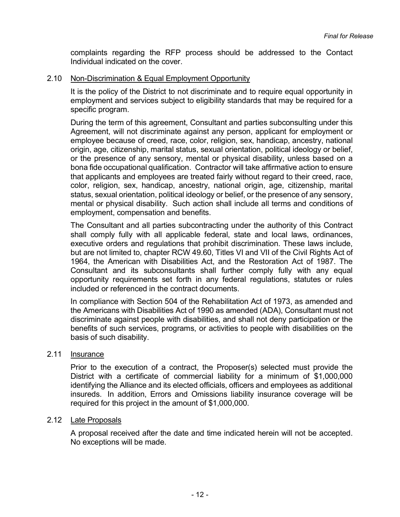complaints regarding the RFP process should be addressed to the Contact Individual indicated on the cover.

#### <span id="page-13-0"></span>2.10 Non-Discrimination & Equal Employment Opportunity

It is the policy of the District to not discriminate and to require equal opportunity in employment and services subject to eligibility standards that may be required for a specific program.

During the term of this agreement, Consultant and parties subconsulting under this Agreement, will not discriminate against any person, applicant for employment or employee because of creed, race, color, religion, sex, handicap, ancestry, national origin, age, citizenship, marital status, sexual orientation, political ideology or belief, or the presence of any sensory, mental or physical disability, unless based on a bona fide occupational qualification. Contractor will take affirmative action to ensure that applicants and employees are treated fairly without regard to their creed, race, color, religion, sex, handicap, ancestry, national origin, age, citizenship, marital status, sexual orientation, political ideology or belief, or the presence of any sensory, mental or physical disability. Such action shall include all terms and conditions of employment, compensation and benefits.

The Consultant and all parties subcontracting under the authority of this Contract shall comply fully with all applicable federal, state and local laws, ordinances, executive orders and regulations that prohibit discrimination. These laws include, but are not limited to, chapter RCW 49.60, Titles VI and VII of the Civil Rights Act of 1964, the American with Disabilities Act, and the Restoration Act of 1987. The Consultant and its subconsultants shall further comply fully with any equal opportunity requirements set forth in any federal regulations, statutes or rules included or referenced in the contract documents.

In compliance with Section 504 of the Rehabilitation Act of 1973, as amended and the Americans with Disabilities Act of 1990 as amended (ADA), Consultant must not discriminate against people with disabilities, and shall not deny participation or the benefits of such services, programs, or activities to people with disabilities on the basis of such disability.

#### <span id="page-13-1"></span>2.11 Insurance

Prior to the execution of a contract, the Proposer(s) selected must provide the District with a certificate of commercial liability for a minimum of \$1,000,000 identifying the Alliance and its elected officials, officers and employees as additional insureds. In addition, Errors and Omissions liability insurance coverage will be required for this project in the amount of \$1,000,000.

#### <span id="page-13-2"></span>2.12 Late Proposals

A proposal received after the date and time indicated herein will not be accepted. No exceptions will be made.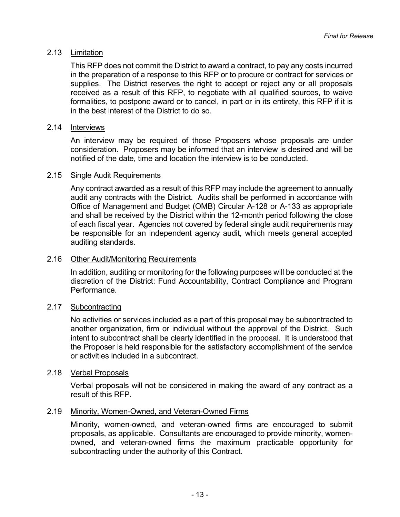#### <span id="page-14-0"></span>2.13 Limitation

This RFP does not commit the District to award a contract, to pay any costs incurred in the preparation of a response to this RFP or to procure or contract for services or supplies. The District reserves the right to accept or reject any or all proposals received as a result of this RFP, to negotiate with all qualified sources, to waive formalities, to postpone award or to cancel, in part or in its entirety, this RFP if it is in the best interest of the District to do so.

#### <span id="page-14-1"></span>2.14 Interviews

An interview may be required of those Proposers whose proposals are under consideration. Proposers may be informed that an interview is desired and will be notified of the date, time and location the interview is to be conducted.

#### <span id="page-14-2"></span>2.15 Single Audit Requirements

Any contract awarded as a result of this RFP may include the agreement to annually audit any contracts with the District. Audits shall be performed in accordance with Office of Management and Budget (OMB) Circular A-128 or A-133 as appropriate and shall be received by the District within the 12-month period following the close of each fiscal year. Agencies not covered by federal single audit requirements may be responsible for an independent agency audit, which meets general accepted auditing standards.

#### <span id="page-14-3"></span>2.16 Other Audit/Monitoring Requirements

In addition, auditing or monitoring for the following purposes will be conducted at the discretion of the District: Fund Accountability, Contract Compliance and Program Performance.

#### <span id="page-14-4"></span>2.17 Subcontracting

No activities or services included as a part of this proposal may be subcontracted to another organization, firm or individual without the approval of the District. Such intent to subcontract shall be clearly identified in the proposal. It is understood that the Proposer is held responsible for the satisfactory accomplishment of the service or activities included in a subcontract.

#### <span id="page-14-5"></span>2.18 Verbal Proposals

Verbal proposals will not be considered in making the award of any contract as a result of this RFP.

#### <span id="page-14-6"></span>2.19 Minority, Women-Owned, and Veteran-Owned Firms

Minority, women-owned, and veteran-owned firms are encouraged to submit proposals, as applicable. Consultants are encouraged to provide minority, womenowned, and veteran-owned firms the maximum practicable opportunity for subcontracting under the authority of this Contract.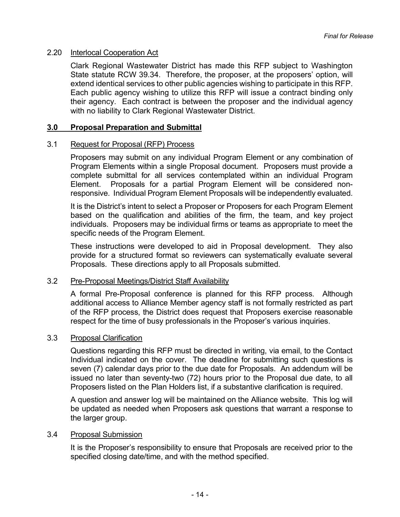#### <span id="page-15-0"></span>2.20 Interlocal Cooperation Act

Clark Regional Wastewater District has made this RFP subject to Washington State statute RCW 39.34. Therefore, the proposer, at the proposers' option, will extend identical services to other public agencies wishing to participate in this RFP. Each public agency wishing to utilize this RFP will issue a contract binding only their agency. Each contract is between the proposer and the individual agency with no liability to Clark Regional Wastewater District.

#### <span id="page-15-1"></span>**3.0 Proposal Preparation and Submittal**

#### <span id="page-15-2"></span>3.1 Request for Proposal (RFP) Process

Proposers may submit on any individual Program Element or any combination of Program Elements within a single Proposal document. Proposers must provide a complete submittal for all services contemplated within an individual Program Element. Proposals for a partial Program Element will be considered nonresponsive. Individual Program Element Proposals will be independently evaluated.

It is the District's intent to select a Proposer or Proposers for each Program Element based on the qualification and abilities of the firm, the team, and key project individuals. Proposers may be individual firms or teams as appropriate to meet the specific needs of the Program Element.

These instructions were developed to aid in Proposal development. They also provide for a structured format so reviewers can systematically evaluate several Proposals. These directions apply to all Proposals submitted.

#### <span id="page-15-3"></span>3.2 Pre-Proposal Meetings/District Staff Availability

A formal Pre-Proposal conference is planned for this RFP process. Although additional access to Alliance Member agency staff is not formally restricted as part of the RFP process, the District does request that Proposers exercise reasonable respect for the time of busy professionals in the Proposer's various inquiries.

#### <span id="page-15-4"></span>3.3 Proposal Clarification

Questions regarding this RFP must be directed in writing, via email, to the Contact Individual indicated on the cover. The deadline for submitting such questions is seven (7) calendar days prior to the due date for Proposals. An addendum will be issued no later than seventy-two (72) hours prior to the Proposal due date, to all Proposers listed on the Plan Holders list, if a substantive clarification is required.

A question and answer log will be maintained on the Alliance website. This log will be updated as needed when Proposers ask questions that warrant a response to the larger group.

#### <span id="page-15-5"></span>3.4 Proposal Submission

It is the Proposer's responsibility to ensure that Proposals are received prior to the specified closing date/time, and with the method specified.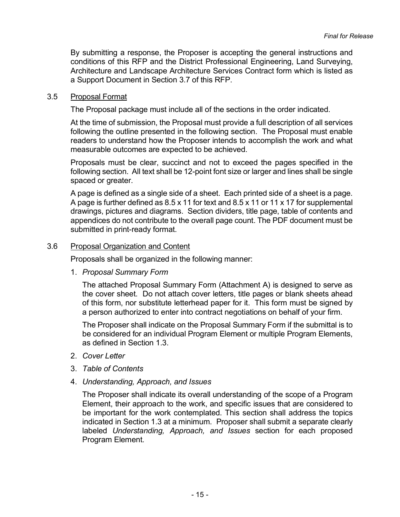By submitting a response, the Proposer is accepting the general instructions and conditions of this RFP and the District Professional Engineering, Land Surveying, Architecture and Landscape Architecture Services Contract form which is listed as a Support Document in Section 3.7 of this RFP.

#### <span id="page-16-0"></span>3.5 Proposal Format

The Proposal package must include all of the sections in the order indicated.

At the time of submission, the Proposal must provide a full description of all services following the outline presented in the following section. The Proposal must enable readers to understand how the Proposer intends to accomplish the work and what measurable outcomes are expected to be achieved.

Proposals must be clear, succinct and not to exceed the pages specified in the following section. All text shall be 12-point font size or larger and lines shall be single spaced or greater.

A page is defined as a single side of a sheet. Each printed side of a sheet is a page. A page is further defined as 8.5 x 11 for text and 8.5 x 11 or 11 x 17 for supplemental drawings, pictures and diagrams. Section dividers, title page, table of contents and appendices do not contribute to the overall page count. The PDF document must be submitted in print-ready format.

#### <span id="page-16-1"></span>3.6 Proposal Organization and Content

Proposals shall be organized in the following manner:

1. *Proposal Summary Form*

The attached Proposal Summary Form (Attachment A) is designed to serve as the cover sheet. Do not attach cover letters, title pages or blank sheets ahead of this form, nor substitute letterhead paper for it. This form must be signed by a person authorized to enter into contract negotiations on behalf of your firm.

The Proposer shall indicate on the Proposal Summary Form if the submittal is to be considered for an individual Program Element or multiple Program Elements, as defined in Section 1.3.

- 2. *Cover Letter*
- 3. *Table of Contents*
- 4. *Understanding, Approach, and Issues*

The Proposer shall indicate its overall understanding of the scope of a Program Element, their approach to the work, and specific issues that are considered to be important for the work contemplated. This section shall address the topics indicated in Section 1.3 at a minimum. Proposer shall submit a separate clearly labeled *Understanding, Approach, and Issues* section for each proposed Program Element.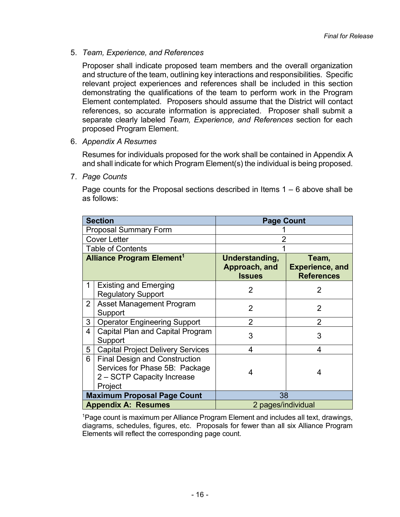5. *Team, Experience, and References*

Proposer shall indicate proposed team members and the overall organization and structure of the team, outlining key interactions and responsibilities. Specific relevant project experiences and references shall be included in this section demonstrating the qualifications of the team to perform work in the Program Element contemplated. Proposers should assume that the District will contact references, so accurate information is appreciated. Proposer shall submit a separate clearly labeled *Team, Experience, and References* section for each proposed Program Element.

6. *Appendix A Resumes*

Resumes for individuals proposed for the work shall be contained in Appendix A and shall indicate for which Program Element(s) the individual is being proposed.

7. *Page Counts*

Page counts for the Proposal sections described in Items  $1 - 6$  above shall be as follows:

|                                             | <b>Section</b>                                                                                                  | <b>Page Count</b>                                |                                                      |
|---------------------------------------------|-----------------------------------------------------------------------------------------------------------------|--------------------------------------------------|------------------------------------------------------|
|                                             | <b>Proposal Summary Form</b>                                                                                    |                                                  |                                                      |
|                                             | <b>Cover Letter</b>                                                                                             |                                                  |                                                      |
|                                             | <b>Table of Contents</b>                                                                                        |                                                  |                                                      |
| <b>Alliance Program Element<sup>1</sup></b> |                                                                                                                 | Understanding,<br>Approach, and<br><b>Issues</b> | Team,<br><b>Experience, and</b><br><b>References</b> |
| 1                                           | <b>Existing and Emerging</b><br><b>Regulatory Support</b>                                                       | $\overline{2}$                                   | 2                                                    |
| $\overline{2}$                              | <b>Asset Management Program</b><br>Support                                                                      | $\overline{2}$                                   | 2                                                    |
| 3                                           | <b>Operator Engineering Support</b>                                                                             | $\overline{2}$                                   | $\overline{2}$                                       |
| 4                                           | <b>Capital Plan and Capital Program</b><br>Support                                                              | 3                                                | 3                                                    |
| 5                                           | <b>Capital Project Delivery Services</b>                                                                        | 4                                                | 4                                                    |
| 6                                           | <b>Final Design and Construction</b><br>Services for Phase 5B: Package<br>2 - SCTP Capacity Increase<br>Project | 4                                                | 4                                                    |
|                                             | <b>Maximum Proposal Page Count</b>                                                                              | 38                                               |                                                      |
|                                             | <b>Appendix A: Resumes</b>                                                                                      | 2 pages/individual                               |                                                      |

1 Page count is maximum per Alliance Program Element and includes all text, drawings, diagrams, schedules, figures, etc. Proposals for fewer than all six Alliance Program Elements will reflect the corresponding page count.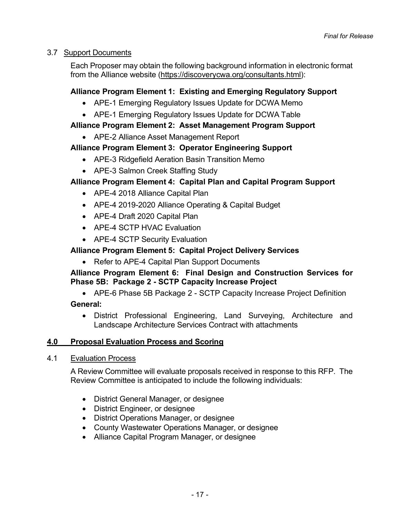## <span id="page-18-0"></span>3.7 Support Documents

Each Proposer may obtain the following background information in electronic format from the Alliance website [\(https://discoverycwa.org/consultants.html\)](https://discoverycwa.org/consultants.html):

## **Alliance Program Element 1: Existing and Emerging Regulatory Support**

- APE-1 Emerging Regulatory Issues Update for DCWA Memo
- APE-1 Emerging Regulatory Issues Update for DCWA Table

## **Alliance Program Element 2: Asset Management Program Support**

• APE-2 Alliance Asset Management Report

## **Alliance Program Element 3: Operator Engineering Support**

- APE-3 Ridgefield Aeration Basin Transition Memo
- APE-3 Salmon Creek Staffing Study

## **Alliance Program Element 4: Capital Plan and Capital Program Support**

- APE-4 2018 Alliance Capital Plan
- APE-4 2019-2020 Alliance Operating & Capital Budget
- APE-4 Draft 2020 Capital Plan
- APE-4 SCTP HVAC Evaluation
- APE-4 SCTP Security Evaluation

## **Alliance Program Element 5: Capital Project Delivery Services**

• Refer to APE-4 Capital Plan Support Documents

## **Alliance Program Element 6: Final Design and Construction Services for Phase 5B: Package 2 - SCTP Capacity Increase Project**

• APE-6 Phase 5B Package 2 - SCTP Capacity Increase Project Definition

## **General:**

• District Professional Engineering, Land Surveying, Architecture and Landscape Architecture Services Contract with attachments

## <span id="page-18-1"></span>**4.0 Proposal Evaluation Process and Scoring**

## <span id="page-18-2"></span>4.1 Evaluation Process

A Review Committee will evaluate proposals received in response to this RFP. The Review Committee is anticipated to include the following individuals:

- District General Manager, or designee
- District Engineer, or designee
- District Operations Manager, or designee
- County Wastewater Operations Manager, or designee
- Alliance Capital Program Manager, or designee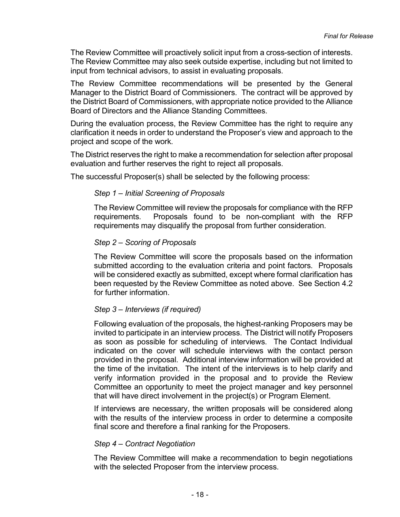The Review Committee will proactively solicit input from a cross-section of interests. The Review Committee may also seek outside expertise, including but not limited to input from technical advisors, to assist in evaluating proposals.

The Review Committee recommendations will be presented by the General Manager to the District Board of Commissioners. The contract will be approved by the District Board of Commissioners, with appropriate notice provided to the Alliance Board of Directors and the Alliance Standing Committees.

During the evaluation process, the Review Committee has the right to require any clarification it needs in order to understand the Proposer's view and approach to the project and scope of the work.

The District reserves the right to make a recommendation for selection after proposal evaluation and further reserves the right to reject all proposals.

The successful Proposer(s) shall be selected by the following process:

#### *Step 1 – Initial Screening of Proposals*

The Review Committee will review the proposals for compliance with the RFP requirements. Proposals found to be non-compliant with the RFP requirements may disqualify the proposal from further consideration.

#### *Step 2 – Scoring of Proposals*

The Review Committee will score the proposals based on the information submitted according to the evaluation criteria and point factors. Proposals will be considered exactly as submitted, except where formal clarification has been requested by the Review Committee as noted above. See Section 4.2 for further information.

#### *Step 3 – Interviews (if required)*

Following evaluation of the proposals, the highest-ranking Proposers may be invited to participate in an interview process. The District will notify Proposers as soon as possible for scheduling of interviews. The Contact Individual indicated on the cover will schedule interviews with the contact person provided in the proposal. Additional interview information will be provided at the time of the invitation. The intent of the interviews is to help clarify and verify information provided in the proposal and to provide the Review Committee an opportunity to meet the project manager and key personnel that will have direct involvement in the project(s) or Program Element.

If interviews are necessary, the written proposals will be considered along with the results of the interview process in order to determine a composite final score and therefore a final ranking for the Proposers.

#### *Step 4 – Contract Negotiation*

The Review Committee will make a recommendation to begin negotiations with the selected Proposer from the interview process.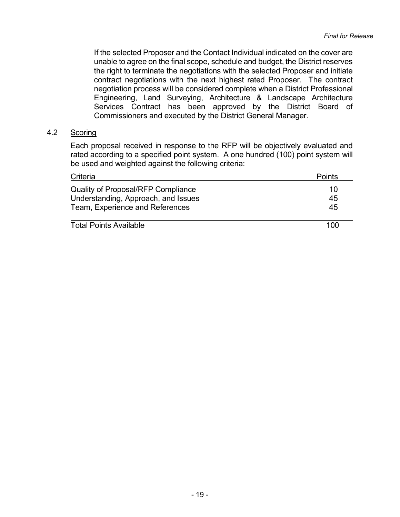If the selected Proposer and the Contact Individual indicated on the cover are unable to agree on the final scope, schedule and budget, the District reserves the right to terminate the negotiations with the selected Proposer and initiate contract negotiations with the next highest rated Proposer. The contract negotiation process will be considered complete when a District Professional Engineering, Land Surveying, Architecture & Landscape Architecture Services Contract has been approved by the District Board of Commissioners and executed by the District General Manager.

### <span id="page-20-0"></span>4.2 Scoring

Each proposal received in response to the RFP will be objectively evaluated and rated according to a specified point system. A one hundred (100) point system will be used and weighted against the following criteria:

| Criteria                                                                         | <b>Points</b> |
|----------------------------------------------------------------------------------|---------------|
| <b>Quality of Proposal/RFP Compliance</b><br>Understanding, Approach, and Issues | 10<br>45      |
| Team, Experience and References                                                  | 45            |
|                                                                                  |               |

Total Points Available 100